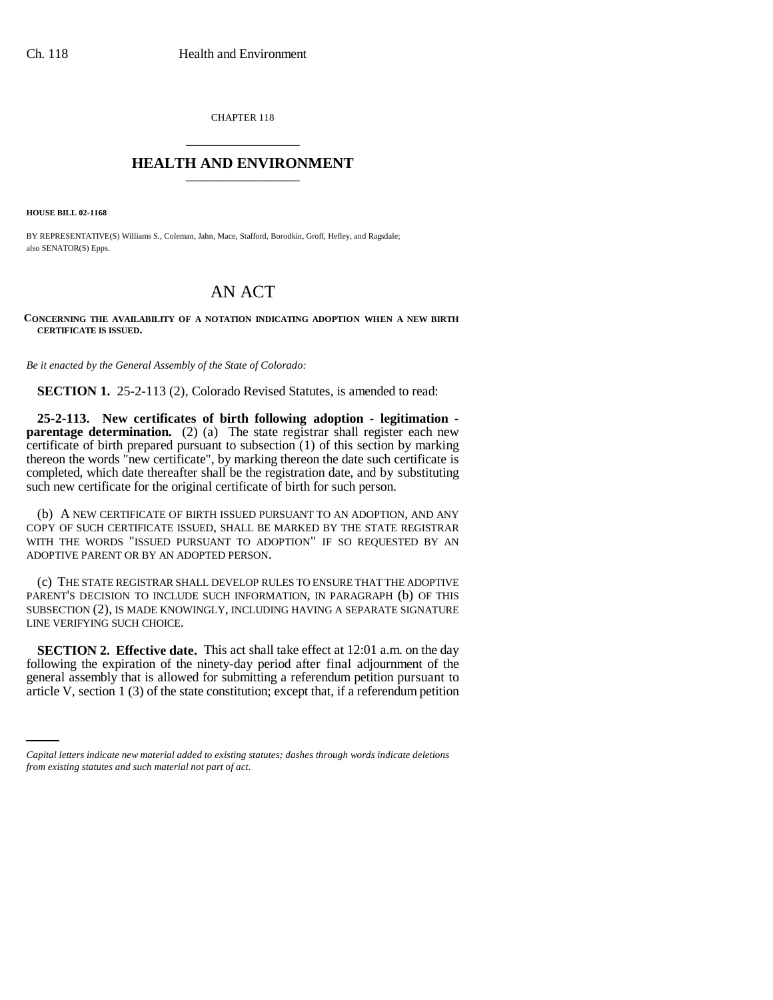CHAPTER 118 \_\_\_\_\_\_\_\_\_\_\_\_\_\_\_

## **HEALTH AND ENVIRONMENT** \_\_\_\_\_\_\_\_\_\_\_\_\_\_\_

**HOUSE BILL 02-1168**

BY REPRESENTATIVE(S) Williams S., Coleman, Jahn, Mace, Stafford, Borodkin, Groff, Hefley, and Ragsdale; also SENATOR(S) Epps.

## AN ACT

## **CONCERNING THE AVAILABILITY OF A NOTATION INDICATING ADOPTION WHEN A NEW BIRTH CERTIFICATE IS ISSUED.**

*Be it enacted by the General Assembly of the State of Colorado:*

**SECTION 1.** 25-2-113 (2), Colorado Revised Statutes, is amended to read:

**25-2-113. New certificates of birth following adoption - legitimation parentage determination.** (2) (a) The state registrar shall register each new certificate of birth prepared pursuant to subsection (1) of this section by marking thereon the words "new certificate", by marking thereon the date such certificate is completed, which date thereafter shall be the registration date, and by substituting such new certificate for the original certificate of birth for such person.

(b) A NEW CERTIFICATE OF BIRTH ISSUED PURSUANT TO AN ADOPTION, AND ANY COPY OF SUCH CERTIFICATE ISSUED, SHALL BE MARKED BY THE STATE REGISTRAR WITH THE WORDS "ISSUED PURSUANT TO ADOPTION" IF SO REQUESTED BY AN ADOPTIVE PARENT OR BY AN ADOPTED PERSON.

(c) THE STATE REGISTRAR SHALL DEVELOP RULES TO ENSURE THAT THE ADOPTIVE PARENT'S DECISION TO INCLUDE SUCH INFORMATION, IN PARAGRAPH (b) OF THIS SUBSECTION (2), IS MADE KNOWINGLY, INCLUDING HAVING A SEPARATE SIGNATURE LINE VERIFYING SUCH CHOICE.

general assembly that is allowed for submitting a referendum petition pursuant to **SECTION 2. Effective date.** This act shall take effect at 12:01 a.m. on the day following the expiration of the ninety-day period after final adjournment of the article V, section 1 (3) of the state constitution; except that, if a referendum petition

*Capital letters indicate new material added to existing statutes; dashes through words indicate deletions from existing statutes and such material not part of act.*